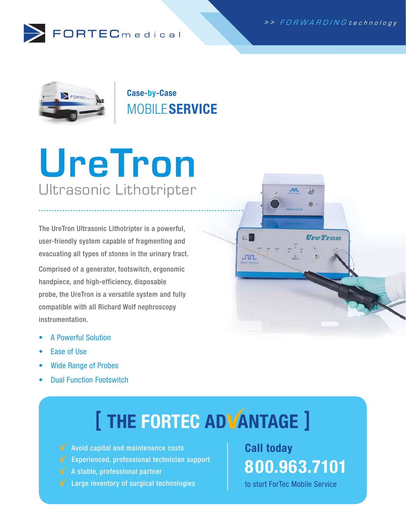



Case-by-Case **MOBILE SERVICE** 

# UreTron Ultrasonic Lithotripter

The UreTron Ultrasonic Lithotripter is a powerful, user-friendly system capable of fragmenting and evacuating all types of stones in the urinary tract.

Comprised of a generator, footswitch, ergonomic handpiece, and high-efficiency, disposable probe, the UreTron is a versatile system and fully compatible with all Richard Wolf nephroscopy instrumentation.

- A Powerful Solution
- Ease of Use
- Wide Range of Probes
- **Dual Function Footswitch**

## [ THE FORTEC ADVANTAGE ]

- $\sqrt{\phantom{a}}$  Avoid capital and maintenance costs
- Experienced, professional technician support
- $\mathbf V$  A stable, professional partner
- **V** Large inventory of surgical technologies

Call today 800.963.7101

to start ForTec Mobile Service